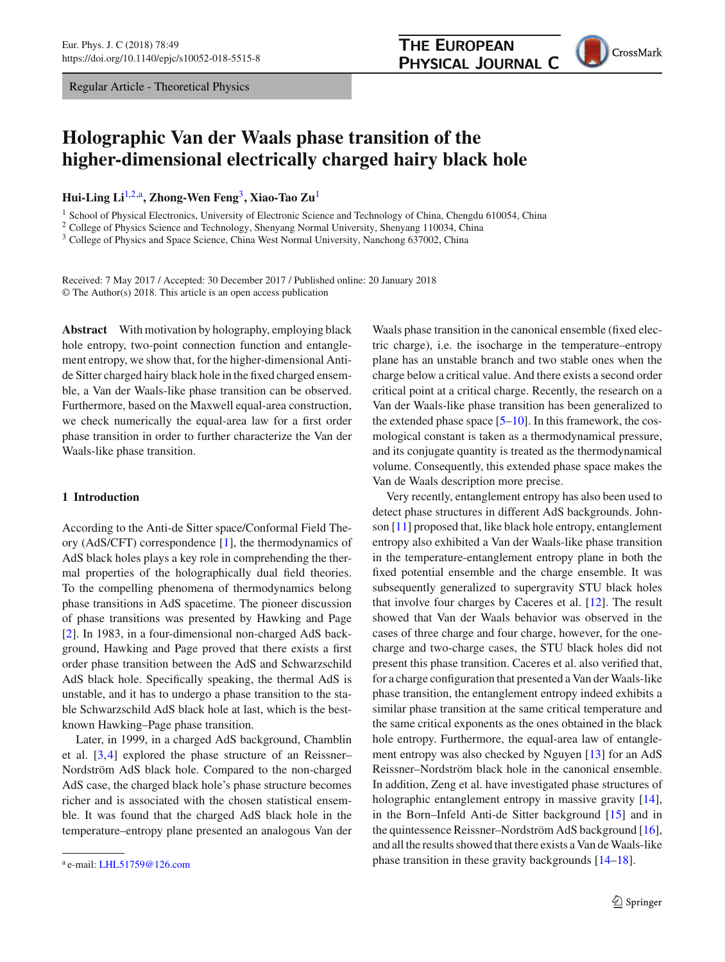Regular Article - Theoretical Physics

## **THE EUROPEAN PHYSICAL JOURNAL C**

<span id="page-0-0"></span>CrossMark

# **Holographic Van der Waals phase transition of the higher-dimensional electrically charged hairy black hole**

**Hui-Ling Li**[1,2,](#page-0-0)a**, Zhong-Wen Feng**[3](#page-0-1)**, Xiao-Tao Zu**[1](#page-0-0)

<sup>1</sup> School of Physical Electronics, University of Electronic Science and Technology of China, Chengdu 610054, China

<sup>2</sup> College of Physics Science and Technology, Shenyang Normal University, Shenyang 110034, China

<sup>3</sup> College of Physics and Space Science, China West Normal University, Nanchong 637002, China

Received: 7 May 2017 / Accepted: 30 December 2017 / Published online: 20 January 2018 © The Author(s) 2018. This article is an open access publication

**Abstract** With motivation by holography, employing black hole entropy, two-point connection function and entanglement entropy, we show that, for the higher-dimensional Antide Sitter charged hairy black hole in the fixed charged ensemble, a Van der Waals-like phase transition can be observed. Furthermore, based on the Maxwell equal-area construction, we check numerically the equal-area law for a first order phase transition in order to further characterize the Van der Waals-like phase transition.

#### **1 Introduction**

According to the Anti-de Sitter space/Conformal Field Theory (AdS/CFT) correspondence [\[1](#page-9-0)], the thermodynamics of AdS black holes plays a key role in comprehending the thermal properties of the holographically dual field theories. To the compelling phenomena of thermodynamics belong phase transitions in AdS spacetime. The pioneer discussion of phase transitions was presented by Hawking and Page [\[2](#page-9-1)]. In 1983, in a four-dimensional non-charged AdS background, Hawking and Page proved that there exists a first order phase transition between the AdS and Schwarzschild AdS black hole. Specifically speaking, the thermal AdS is unstable, and it has to undergo a phase transition to the stable Schwarzschild AdS black hole at last, which is the bestknown Hawking–Page phase transition.

Later, in 1999, in a charged AdS background, Chamblin et al. [\[3](#page-9-2)[,4](#page-9-3)] explored the phase structure of an Reissner– Nordström AdS black hole. Compared to the non-charged AdS case, the charged black hole's phase structure becomes richer and is associated with the chosen statistical ensemble. It was found that the charged AdS black hole in the temperature–entropy plane presented an analogous Van der

<span id="page-0-1"></span>Waals phase transition in the canonical ensemble (fixed electric charge), i.e. the isocharge in the temperature–entropy plane has an unstable branch and two stable ones when the charge below a critical value. And there exists a second order critical point at a critical charge. Recently, the research on a Van der Waals-like phase transition has been generalized to the extended phase space  $[5–10]$  $[5–10]$ . In this framework, the cosmological constant is taken as a thermodynamical pressure, and its conjugate quantity is treated as the thermodynamical volume. Consequently, this extended phase space makes the Van de Waals description more precise.

Very recently, entanglement entropy has also been used to detect phase structures in different AdS backgrounds. Johnson [\[11](#page-10-1)] proposed that, like black hole entropy, entanglement entropy also exhibited a Van der Waals-like phase transition in the temperature-entanglement entropy plane in both the fixed potential ensemble and the charge ensemble. It was subsequently generalized to supergravity STU black holes that involve four charges by Caceres et al. [\[12](#page-10-2)]. The result showed that Van der Waals behavior was observed in the cases of three charge and four charge, however, for the onecharge and two-charge cases, the STU black holes did not present this phase transition. Caceres et al. also verified that, for a charge configuration that presented a Van der Waals-like phase transition, the entanglement entropy indeed exhibits a similar phase transition at the same critical temperature and the same critical exponents as the ones obtained in the black hole entropy. Furthermore, the equal-area law of entanglement entropy was also checked by Nguyen [\[13](#page-10-3)] for an AdS Reissner–Nordström black hole in the canonical ensemble. In addition, Zeng et al. have investigated phase structures of holographic entanglement entropy in massive gravity [\[14](#page-10-4)], in the Born–Infeld Anti-de Sitter background [\[15\]](#page-10-5) and in the quintessence Reissner–Nordström AdS background [\[16](#page-10-6)], and all the results showed that there exists a Van de Waals-like phase transition in these gravity backgrounds [\[14](#page-10-4)[–18\]](#page-10-7).

<sup>a</sup> e-mail: [LHL51759@126.com](mailto:LHL51759@126.com)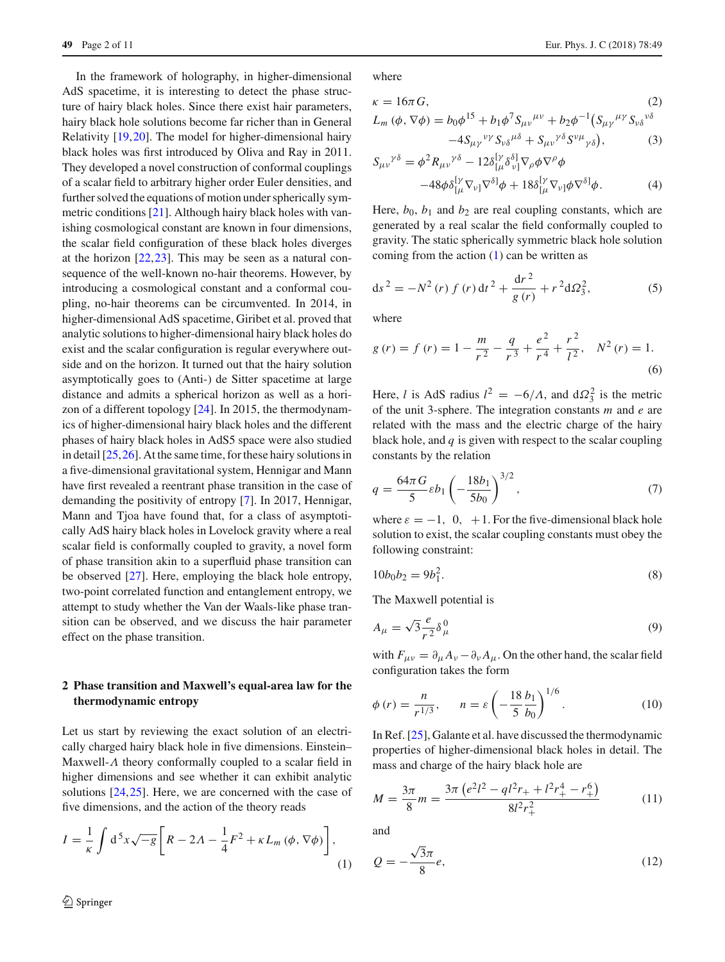In the framework of holography, in higher-dimensional AdS spacetime, it is interesting to detect the phase structure of hairy black holes. Since there exist hair parameters, hairy black hole solutions become far richer than in General Relativity [\[19](#page-10-8)[,20](#page-10-9)]. The model for higher-dimensional hairy black holes was first introduced by Oliva and Ray in 2011. They developed a novel construction of conformal couplings of a scalar field to arbitrary higher order Euler densities, and further solved the equations of motion under spherically symmetric conditions [\[21](#page-10-10)]. Although hairy black holes with vanishing cosmological constant are known in four dimensions, the scalar field configuration of these black holes diverges at the horizon [\[22](#page-10-11)[,23](#page-10-12)]. This may be seen as a natural consequence of the well-known no-hair theorems. However, by introducing a cosmological constant and a conformal coupling, no-hair theorems can be circumvented. In 2014, in higher-dimensional AdS spacetime, Giribet et al. proved that analytic solutions to higher-dimensional hairy black holes do exist and the scalar configuration is regular everywhere outside and on the horizon. It turned out that the hairy solution asymptotically goes to (Anti-) de Sitter spacetime at large distance and admits a spherical horizon as well as a horizon of a different topology [\[24](#page-10-13)]. In 2015, the thermodynamics of higher-dimensional hairy black holes and the different phases of hairy black holes in AdS5 space were also studied in detail [\[25](#page-10-14),[26](#page-10-15)]. At the same time, for these hairy solutions in a five-dimensional gravitational system, Hennigar and Mann have first revealed a reentrant phase transition in the case of demanding the positivity of entropy [\[7](#page-9-5)]. In 2017, Hennigar, Mann and Tjoa have found that, for a class of asymptotically AdS hairy black holes in Lovelock gravity where a real scalar field is conformally coupled to gravity, a novel form of phase transition akin to a superfluid phase transition can be observed [\[27](#page-10-16)]. Here, employing the black hole entropy, two-point correlated function and entanglement entropy, we attempt to study whether the Van der Waals-like phase transition can be observed, and we discuss the hair parameter effect on the phase transition.

#### <span id="page-1-1"></span>**2 Phase transition and Maxwell's equal-area law for the thermodynamic entropy**

Let us start by reviewing the exact solution of an electrically charged hairy black hole in five dimensions. Einstein– Maxwell-Λ theory conformally coupled to a scalar field in higher dimensions and see whether it can exhibit analytic solutions [\[24](#page-10-13),[25\]](#page-10-14). Here, we are concerned with the case of five dimensions, and the action of the theory reads

<span id="page-1-0"></span>
$$
I = \frac{1}{\kappa} \int d^5 x \sqrt{-g} \left[ R - 2A - \frac{1}{4} F^2 + \kappa L_m \left( \phi, \nabla \phi \right) \right],
$$
\n(1)

where

$$
\kappa = 16\pi G, \qquad (2)
$$
  
\n
$$
L_m(\phi, \nabla \phi) = b_0 \phi^{15} + b_1 \phi^7 S_{\mu\nu}^{\mu\nu} + b_2 \phi^{-1} (S_{\mu\gamma}^{\mu\gamma} S_{\nu\delta}^{\nu\delta})
$$

$$
-4S_{\mu\gamma}{}^{\nu\gamma}S_{\nu\delta}{}^{\mu\delta} + S_{\mu\nu}{}^{\gamma\delta}S^{\nu\mu}{}_{\gamma\delta}\big),\tag{3}
$$

$$
S_{\mu\nu}^{\gamma\delta} = \phi^2 R_{\mu\nu}^{\gamma\delta} - 12\delta_{[\mu}^{\gamma\delta} \delta_{\nu]}^{\delta} \nabla_{\rho} \phi \nabla^{\rho} \phi
$$

$$
-48\phi \delta_{[\mu}^{\gamma} \nabla_{\nu]} \nabla^{\delta} \phi + 18\delta_{[\mu}^{\gamma} \nabla_{\nu]} \phi \nabla^{\delta} \phi. \tag{4}
$$

Here,  $b_0$ ,  $b_1$  and  $b_2$  are real coupling constants, which are generated by a real scalar the field conformally coupled to gravity. The static spherically symmetric black hole solution coming from the action  $(1)$  can be written as

$$
ds^{2} = -N^{2}(r) f(r) dt^{2} + \frac{dr^{2}}{g(r)} + r^{2} d\Omega_{3}^{2},
$$
 (5)

where

$$
g(r) = f(r) = 1 - \frac{m}{r^2} - \frac{q}{r^3} + \frac{e^2}{r^4} + \frac{r^2}{l^2}, \quad N^2(r) = 1.
$$
\n(6)

Here, *l* is AdS radius  $l^2 = -6/\Lambda$ , and  $d\Omega_3^2$  is the metric of the unit 3-sphere. The integration constants *m* and *e* are related with the mass and the electric charge of the hairy black hole, and *q* is given with respect to the scalar coupling constants by the relation

$$
q = \frac{64\pi G}{5} \varepsilon b_1 \left( -\frac{18b_1}{5b_0} \right)^{3/2},\tag{7}
$$

where  $\varepsilon = -1$ , 0, +1. For the five-dimensional black hole solution to exist, the scalar coupling constants must obey the following constraint:

$$
10b_0b_2 = 9b_1^2.
$$
 (8)

The Maxwell potential is

$$
A_{\mu} = \sqrt{3} \frac{e}{r^2} \delta_{\mu}^0 \tag{9}
$$

with  $F_{\mu\nu} = \partial_{\mu} A_{\nu} - \partial_{\nu} A_{\mu}$ . On the other hand, the scalar field configuration takes the form

$$
\phi(r) = \frac{n}{r^{1/3}}, \qquad n = \varepsilon \left( -\frac{18}{5} \frac{b_1}{b_0} \right)^{1/6}.
$$
 (10)

In Ref. [\[25\]](#page-10-14), Galante et al. have discussed the thermodynamic properties of higher-dimensional black holes in detail. The mass and charge of the hairy black hole are

$$
M = \frac{3\pi}{8}m = \frac{3\pi \left(e^{2}l^{2} - ql^{2}r_{+} + l^{2}r_{+}^{4} - r_{+}^{6}\right)}{8l^{2}r_{+}^{2}}\tag{11}
$$

and

$$
Q = -\frac{\sqrt{3}\pi}{8}e,\tag{12}
$$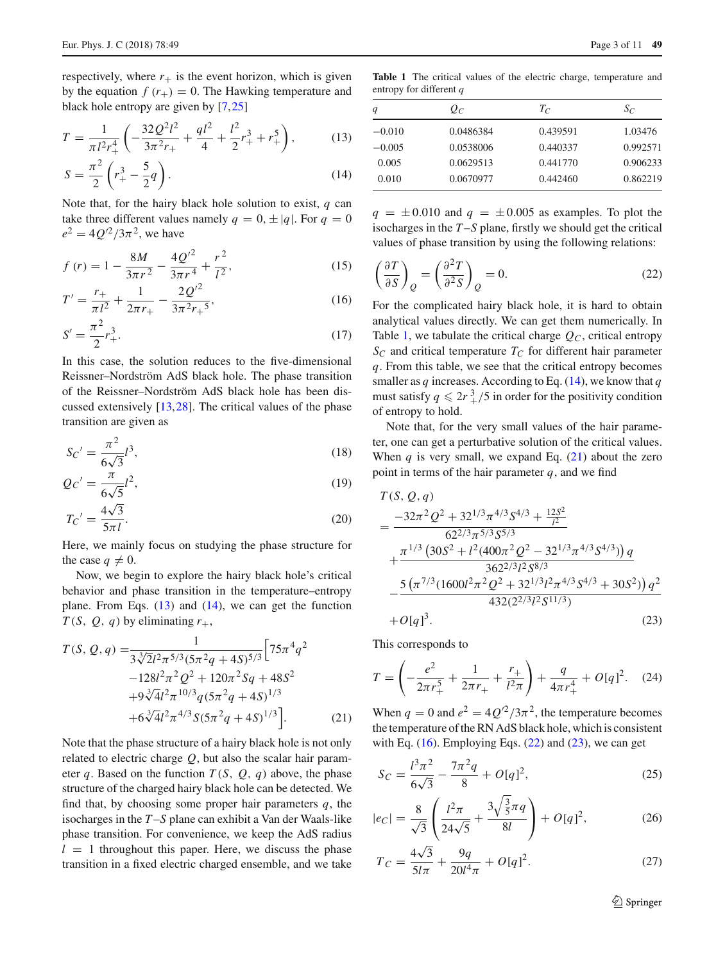respectively, where  $r_{+}$  is the event horizon, which is given by the equation  $f(r_{+}) = 0$ . The Hawking temperature and black hole entropy are given by [\[7](#page-9-5)[,25](#page-10-14)]

<span id="page-2-0"></span>
$$
T = \frac{1}{\pi l^2 r_+^4} \left( -\frac{32 \mathcal{Q}^2 l^2}{3 \pi^2 r_+} + \frac{q l^2}{4} + \frac{l^2}{2} r_+^3 + r_+^5 \right),\tag{13}
$$

$$
S = \frac{\pi^2}{2} \left( r_+^3 - \frac{5}{2} q \right). \tag{14}
$$

Note that, for the hairy black hole solution to exist, *q* can take three different values namely  $q = 0, \pm |q|$ . For  $q = 0$  $e^{2} = 4Q^{2}/3\pi^{2}$ , we have

<span id="page-2-3"></span>
$$
f(r) = 1 - \frac{8M}{3\pi r^2} - \frac{4Q^2}{3\pi r^4} + \frac{r^2}{l^2},
$$
\n(15)

$$
T' = \frac{r_+}{\pi l^2} + \frac{1}{2\pi r_+} - \frac{2Q'^2}{3\pi^2 r_+^5},\tag{16}
$$

$$
S' = \frac{\pi^2}{2} r_+^3.
$$
 (17)

In this case, the solution reduces to the five-dimensional Reissner–Nordström AdS black hole. The phase transition of the Reissner–Nordström AdS black hole has been discussed extensively [\[13](#page-10-3),[28\]](#page-10-17). The critical values of the phase transition are given as

<span id="page-2-6"></span>
$$
S_C' = \frac{\pi^2}{6\sqrt{3}} l^3,
$$
\n(18)

$$
Q_C' = \frac{\pi}{6\sqrt{5}}l^2,
$$
\n(19)

$$
T_C' = \frac{4\sqrt{3}}{5\pi l}.\tag{20}
$$

Here, we mainly focus on studying the phase structure for the case  $q \neq 0$ .

Now, we begin to explore the hairy black hole's critical behavior and phase transition in the temperature–entropy plane. From Eqs.  $(13)$  and  $(14)$ , we can get the function *T*(*S*, *Q*, *q*) by eliminating  $r_{+}$ ,

<span id="page-2-2"></span>
$$
T(S, Q, q) = \frac{1}{3\sqrt[3]{2}l^2\pi^{5/3}(5\pi^2q + 4S)^{5/3}} \Big[ 75\pi^4q^2 -128l^2\pi^2Q^2 + 120\pi^2Sq + 48S^2 + 9\sqrt[3]{4}l^2\pi^{10/3}q(5\pi^2q + 4S)^{1/3} + 6\sqrt[3]{4}l^2\pi^{4/3}S(5\pi^2q + 4S)^{1/3} \Big].
$$
 (21)

Note that the phase structure of a hairy black hole is not only related to electric charge *Q*, but also the scalar hair parameter *q*. Based on the function  $T(S, Q, q)$  above, the phase structure of the charged hairy black hole can be detected. We find that, by choosing some proper hair parameters *q*, the isocharges in the *T* –*S* plane can exhibit a Van der Waals-like phase transition. For convenience, we keep the AdS radius  $l = 1$  throughout this paper. Here, we discuss the phase transition in a fixed electric charged ensemble, and we take

<span id="page-2-1"></span>**Table 1** The critical values of the electric charge, temperature and entropy for different *q*

| q        | $Q_C$     | $T_C$    | $S_C$    |
|----------|-----------|----------|----------|
| $-0.010$ | 0.0486384 | 0.439591 | 1.03476  |
| $-0.005$ | 0.0538006 | 0.440337 | 0.992571 |
| 0.005    | 0.0629513 | 0.441770 | 0.906233 |
| 0.010    | 0.0670977 | 0.442460 | 0.862219 |
|          |           |          |          |

 $q = \pm 0.010$  and  $q = \pm 0.005$  as examples. To plot the isocharges in the *T* –*S* plane, firstly we should get the critical values of phase transition by using the following relations:

<span id="page-2-4"></span>
$$
\left(\frac{\partial T}{\partial S}\right)_Q = \left(\frac{\partial^2 T}{\partial^2 S}\right)_Q = 0.
$$
\n(22)

For the complicated hairy black hole, it is hard to obtain analytical values directly. We can get them numerically. In Table [1,](#page-2-1) we tabulate the critical charge  $Q_C$ , critical entropy  $S_C$  and critical temperature  $T_C$  for different hair parameter *q*. From this table, we see that the critical entropy becomes smaller as *q* increases. According to Eq. [\(14\)](#page-2-0), we know that *q* must satisfy  $q \leq 2r^3$  /5 in order for the positivity condition of entropy to hold.

Note that, for the very small values of the hair parameter, one can get a perturbative solution of the critical values. When  $q$  is very small, we expand Eq.  $(21)$  about the zero point in terms of the hair parameter *q*, and we find

<span id="page-2-5"></span>
$$
T(S, Q, q)
$$
  
= 
$$
\frac{-32\pi^2 Q^2 + 32^{1/3} \pi^{4/3} S^{4/3} + \frac{12S^2}{l^2}}{62^{2/3} \pi^{5/3} S^{5/3}}
$$
  
+ 
$$
\frac{\pi^{1/3} (30S^2 + l^2 (400\pi^2 Q^2 - 32^{1/3} \pi^{4/3} S^{4/3})) q}{362^{2/3} l^2 S^{8/3}}
$$
  
- 
$$
\frac{5 (\pi^{7/3} (1600l^2 \pi^2 Q^2 + 32^{1/3} l^2 \pi^{4/3} S^{4/3} + 30S^2)) q^2}{432(2^{2/3} l^2 S^{11/3})}
$$
  
+ 
$$
O[q]^3.
$$
 (23)

This corresponds to

$$
T = \left(-\frac{e^2}{2\pi r_+^5} + \frac{1}{2\pi r_+} + \frac{r_+}{l^2 \pi}\right) + \frac{q}{4\pi r_+^4} + O[q]^2.
$$
 (24)

When  $q = 0$  and  $e^2 = 4Q^2/3\pi^2$ , the temperature becomes the temperature of the RN AdS black hole, which is consistent with Eq.  $(16)$ . Employing Eqs.  $(22)$  and  $(23)$ , we can get

$$
S_C = \frac{l^3 \pi^2}{6\sqrt{3}} - \frac{7\pi^2 q}{8} + O[q]^2,\tag{25}
$$

$$
|e_C| = \frac{8}{\sqrt{3}} \left( \frac{l^2 \pi}{24\sqrt{5}} + \frac{3\sqrt{\frac{3}{5}}\pi q}{8l} \right) + O[q]^2, \tag{26}
$$

$$
T_C = \frac{4\sqrt{3}}{5l\pi} + \frac{9q}{20l^4\pi} + O[q]^2.
$$
 (27)

<sup>2</sup> Springer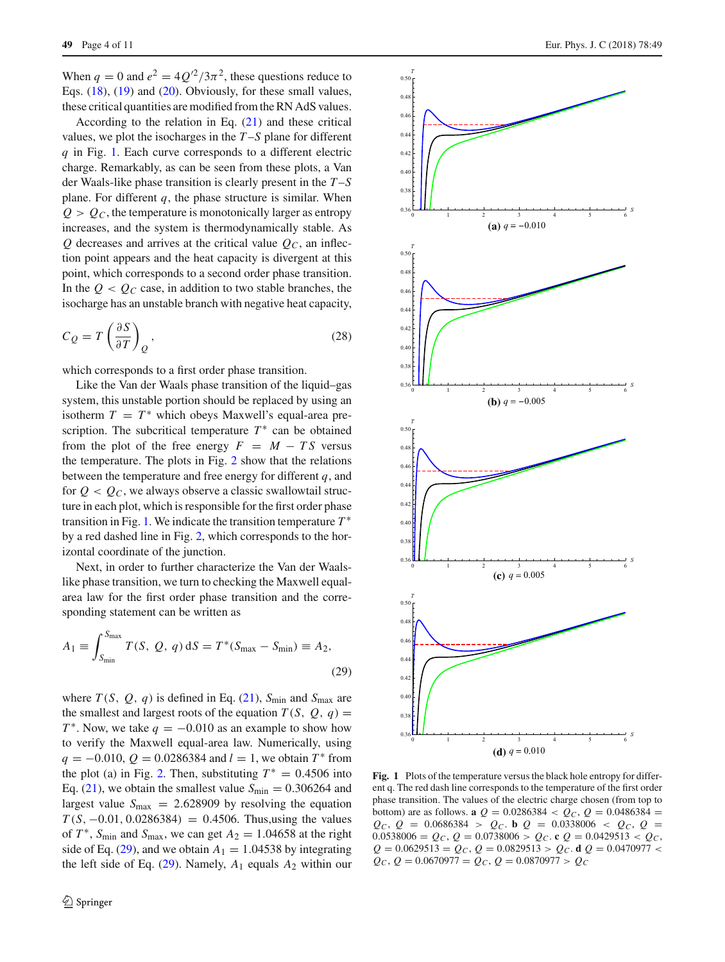When  $q = 0$  and  $e^2 = 4Q^2/3\pi^2$ , these questions reduce to Eqs. [\(18\)](#page-2-6), [\(19\)](#page-2-6) and [\(20\)](#page-2-6). Obviously, for these small values, these critical quantities are modified from the RN AdS values.

According to the relation in Eq.  $(21)$  and these critical values, we plot the isocharges in the *T* –*S* plane for different *q* in Fig. [1.](#page-3-0) Each curve corresponds to a different electric charge. Remarkably, as can be seen from these plots, a Van der Waals-like phase transition is clearly present in the *T* –*S* plane. For different  $q$ , the phase structure is similar. When  $Q > Q<sub>C</sub>$ , the temperature is monotonically larger as entropy increases, and the system is thermodynamically stable. As  $Q$  decreases and arrives at the critical value  $Q<sub>C</sub>$ , an inflection point appears and the heat capacity is divergent at this point, which corresponds to a second order phase transition. In the  $Q < Q_C$  case, in addition to two stable branches, the isocharge has an unstable branch with negative heat capacity,

$$
C_Q = T \left(\frac{\partial S}{\partial T}\right)_Q,\tag{28}
$$

which corresponds to a first order phase transition.

Like the Van der Waals phase transition of the liquid–gas system, this unstable portion should be replaced by using an isotherm  $T = T^*$  which obeys Maxwell's equal-area prescription. The subcritical temperature  $T^*$  can be obtained from the plot of the free energy  $F = M - TS$  versus the temperature. The plots in Fig. [2](#page-4-0) show that the relations between the temperature and free energy for different *q*, and for  $Q < Q_C$ , we always observe a classic swallowtail structure in each plot, which is responsible for the first order phase transition in Fig. [1.](#page-3-0) We indicate the transition temperature *T* ∗ by a red dashed line in Fig. [2,](#page-4-0) which corresponds to the horizontal coordinate of the junction.

Next, in order to further characterize the Van der Waalslike phase transition, we turn to checking the Maxwell equalarea law for the first order phase transition and the corresponding statement can be written as

<span id="page-3-1"></span>
$$
A_1 \equiv \int_{S_{\min}}^{S_{\max}} T(S, Q, q) \, dS = T^*(S_{\max} - S_{\min}) \equiv A_2,
$$
\n(29)

where  $T(S, Q, q)$  is defined in Eq. [\(21\)](#page-2-2),  $S_{\text{min}}$  and  $S_{\text{max}}$  are the smallest and largest roots of the equation  $T(S, Q, q) =$ *T*<sup>\*</sup>. Now, we take  $q = -0.010$  as an example to show how to verify the Maxwell equal-area law. Numerically, using  $q = -0.010, Q = 0.0286384$  and  $l = 1$ , we obtain  $T^*$  from the plot (a) in Fig. [2.](#page-4-0) Then, substituting  $T^* = 0.4506$  into Eq. [\(21\)](#page-2-2), we obtain the smallest value  $S_{\text{min}} = 0.306264$  and largest value  $S_{\text{max}} = 2.628909$  by resolving the equation  $T(S, -0.01, 0.0286384) = 0.4506$ . Thus, using the values of  $T^*$ ,  $S_{\text{min}}$  and  $S_{\text{max}}$ , we can get  $A_2 = 1.04658$  at the right side of Eq. [\(29\)](#page-3-1), and we obtain  $A_1 = 1.04538$  by integrating the left side of Eq.  $(29)$ . Namely,  $A_1$  equals  $A_2$  within our



<span id="page-3-0"></span>**Fig. 1** Plots of the temperature versus the black hole entropy for different q. The red dash line corresponds to the temperature of the first order phase transition. The values of the electric charge chosen (from top to bottom) are as follows. **a**  $Q = 0.0286384 < Q_C$ ,  $Q = 0.0486384$  =  $Q_C$ ,  $Q = 0.0686384 > Q_C$ . **b**  $Q = 0.0338006 < Q_C$ ,  $Q =$  $0.0538006 = Q_C$ ,  $Q = 0.0738006 > Q_C$ . **c**  $Q = 0.0429513 < Q_C$ ,  $Q = 0.0629513 = Q_C$ ,  $Q = 0.0829513 > Q_C$ . **d**  $Q = 0.0470977 <$  $Q_C$ ,  $Q = 0.0670977 = Q_C$ ,  $Q = 0.0870977 > Q_C$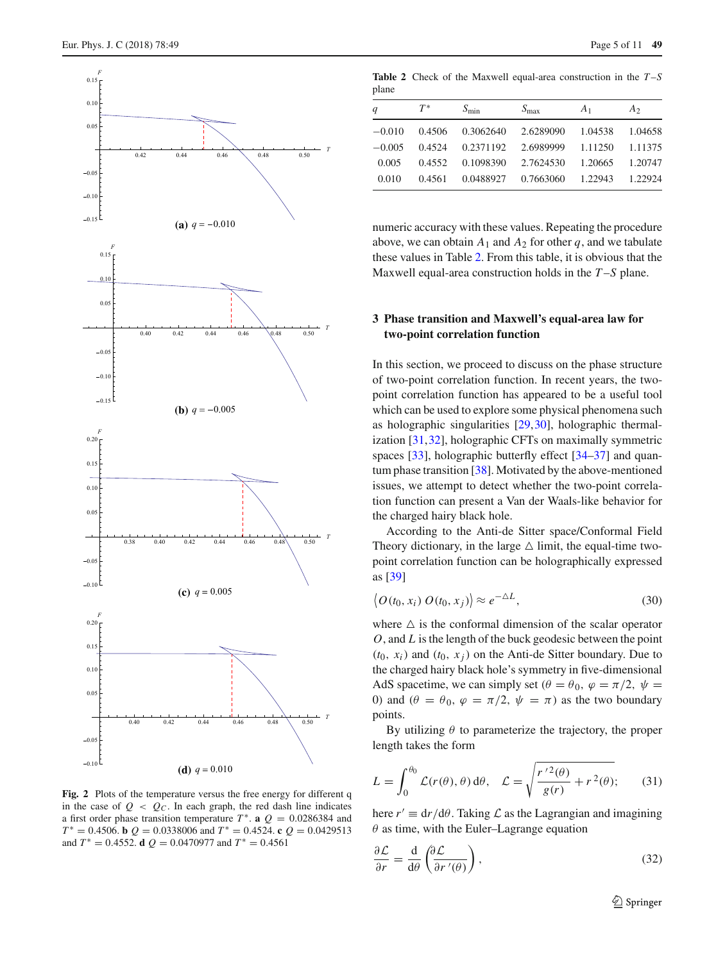

<span id="page-4-0"></span>**Fig. 2** Plots of the temperature versus the free energy for different q in the case of  $Q < Q_C$ . In each graph, the red dash line indicates a first order phase transition temperature  $T^*$ . **a**  $Q = 0.0286384$  and  $T^* = 0.4506$ . **b**  $Q = 0.0338006$  and  $T^* = 0.4524$ . **c**  $Q = 0.0429513$ and  $T^* = 0.4552$ . **d**  $Q = 0.0470977$  and  $T^* = 0.4561$ 

**Table 2** Check of the Maxwell equal-area construction in the *T* –*S* plane

<span id="page-4-1"></span>

| q        | $T^*$  | $S_{\min}$ | $S_{\rm max}$ | A <sub>1</sub> | A <sub>2</sub> |
|----------|--------|------------|---------------|----------------|----------------|
| $-0.010$ | 0.4506 | 0.3062640  | 2.6289090     | 1.04538        | 1.04658        |
| $-0.005$ | 0.4524 | 0.2371192  | 2.6989999     | 1.11250        | 1.11375        |
| 0.005    | 0.4552 | 0.1098390  | 2.7624530     | 1.20665        | 1.20747        |
| 0.010    | 0.4561 | 0.0488927  | 0.7663060     | 1.22943        | 1.22924        |

numeric accuracy with these values. Repeating the procedure above, we can obtain  $A_1$  and  $A_2$  for other *q*, and we tabulate these values in Table [2.](#page-4-1) From this table, it is obvious that the Maxwell equal-area construction holds in the *T* –*S* plane.

#### **3 Phase transition and Maxwell's equal-area law for two-point correlation function**

In this section, we proceed to discuss on the phase structure of two-point correlation function. In recent years, the twopoint correlation function has appeared to be a useful tool which can be used to explore some physical phenomena such as holographic singularities [\[29](#page-10-18)[,30](#page-10-19)], holographic thermalization [\[31](#page-10-20)[,32](#page-10-21)], holographic CFTs on maximally symmetric spaces [\[33](#page-10-22)], holographic butterfly effect [\[34](#page-10-23)[–37\]](#page-10-24) and quantum phase transition [\[38](#page-10-25)]. Motivated by the above-mentioned issues, we attempt to detect whether the two-point correlation function can present a Van der Waals-like behavior for the charged hairy black hole.

According to the Anti-de Sitter space/Conformal Field Theory dictionary, in the large  $\triangle$  limit, the equal-time twopoint correlation function can be holographically expressed as [\[39](#page-10-26)]

$$
\langle O(t_0, x_i) O(t_0, x_j) \rangle \approx e^{-\Delta L}, \tag{30}
$$

where  $\triangle$  is the conformal dimension of the scalar operator *O*, and *L* is the length of the buck geodesic between the point  $(t_0, x_i)$  and  $(t_0, x_j)$  on the Anti-de Sitter boundary. Due to the charged hairy black hole's symmetry in five-dimensional AdS spacetime, we can simply set  $(\theta = \theta_0, \varphi = \pi/2, \psi =$ 0) and  $(\theta = \theta_0, \varphi = \pi/2, \psi = \pi)$  as the two boundary points.

By utilizing  $\theta$  to parameterize the trajectory, the proper length takes the form

<span id="page-4-2"></span>
$$
L = \int_0^{\theta_0} \mathcal{L}(r(\theta), \theta) d\theta, \quad \mathcal{L} = \sqrt{\frac{r'^2(\theta)}{g(r)} + r^2(\theta)};
$$
 (31)

here  $r' \equiv dr/d\theta$ . Taking  $\mathcal L$  as the Lagrangian and imagining  $\theta$  as time, with the Euler–Lagrange equation

$$
\frac{\partial \mathcal{L}}{\partial r} = \frac{\mathrm{d}}{\mathrm{d}\theta} \left( \frac{\partial \mathcal{L}}{\partial r'(\theta)} \right),\tag{32}
$$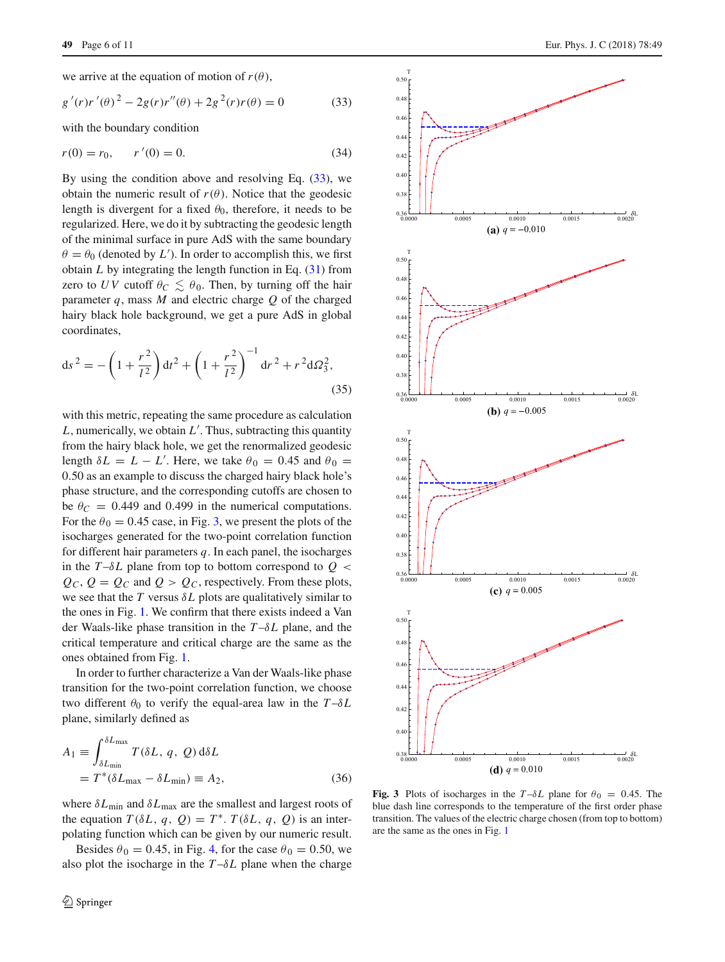we arrive at the equation of motion of  $r(\theta)$ ,

<span id="page-5-0"></span>
$$
g'(r)r'(\theta)^{2} - 2g(r)r''(\theta) + 2g^{2}(r)r(\theta) = 0
$$
 (33)

with the boundary condition

$$
r(0) = r_0, \qquad r'(0) = 0. \tag{34}
$$

By using the condition above and resolving Eq.  $(33)$ , we obtain the numeric result of  $r(\theta)$ . Notice that the geodesic length is divergent for a fixed  $\theta_0$ , therefore, it needs to be regularized. Here, we do it by subtracting the geodesic length of the minimal surface in pure AdS with the same boundary  $\theta = \theta_0$  (denoted by *L*<sup>'</sup>). In order to accomplish this, we first obtain  $L$  by integrating the length function in Eq.  $(31)$  from zero to *UV* cutoff  $\theta_C \leq \theta_0$ . Then, by turning off the hair parameter *q*, mass *M* and electric charge *Q* of the charged hairy black hole background, we get a pure AdS in global coordinates,

$$
ds^{2} = -\left(1 + \frac{r^{2}}{l^{2}}\right)dt^{2} + \left(1 + \frac{r^{2}}{l^{2}}\right)^{-1}dr^{2} + r^{2}d\Omega_{3}^{2},
$$
\n(35)

with this metric, repeating the same procedure as calculation *L*, numerically, we obtain *L* . Thus, subtracting this quantity from the hairy black hole, we get the renormalized geodesic length  $\delta L = L - L'$ . Here, we take  $\theta_0 = 0.45$  and  $\theta_0 =$ 0.50 as an example to discuss the charged hairy black hole's phase structure, and the corresponding cutoffs are chosen to be  $\theta_C = 0.449$  and 0.499 in the numerical computations. For the  $\theta_0 = 0.45$  case, in Fig. [3,](#page-5-1) we present the plots of the isocharges generated for the two-point correlation function for different hair parameters *q*. In each panel, the isocharges in the  $T-\delta L$  plane from top to bottom correspond to  $Q <$  $Q_C$ ,  $Q = Q_C$  and  $Q > Q_C$ , respectively. From these plots, we see that the  $T$  versus  $\delta L$  plots are qualitatively similar to the ones in Fig. [1.](#page-3-0) We confirm that there exists indeed a Van der Waals-like phase transition in the *T* –δ*L* plane, and the critical temperature and critical charge are the same as the ones obtained from Fig. [1.](#page-3-0)

In order to further characterize a Van der Waals-like phase transition for the two-point correlation function, we choose two different  $\theta_0$  to verify the equal-area law in the  $T-\delta L$ plane, similarly defined as

$$
A_1 \equiv \int_{\delta L_{\text{min}}}^{\delta L_{\text{max}}} T(\delta L, q, Q) d\delta L
$$
  
=  $T^*(\delta L_{\text{max}} - \delta L_{\text{min}}) \equiv A_2,$  (36)

where  $\delta L_{\text{min}}$  and  $\delta L_{\text{max}}$  are the smallest and largest roots of the equation  $T(\delta L, q, Q) = T^*$ .  $T(\delta L, q, Q)$  is an interpolating function which can be given by our numeric result.

Besides  $\theta_0 = 0.45$ , in Fig. [4,](#page-6-0) for the case  $\theta_0 = 0.50$ , we also plot the isocharge in the  $T-\delta L$  plane when the charge



<span id="page-5-1"></span>**Fig. 3** Plots of isocharges in the  $T-\delta L$  plane for  $\theta_0 = 0.45$ . The blue dash line corresponds to the temperature of the first order phase transition. The values of the electric charge chosen (from top to bottom) are the same as the ones in Fig. [1](#page-3-0)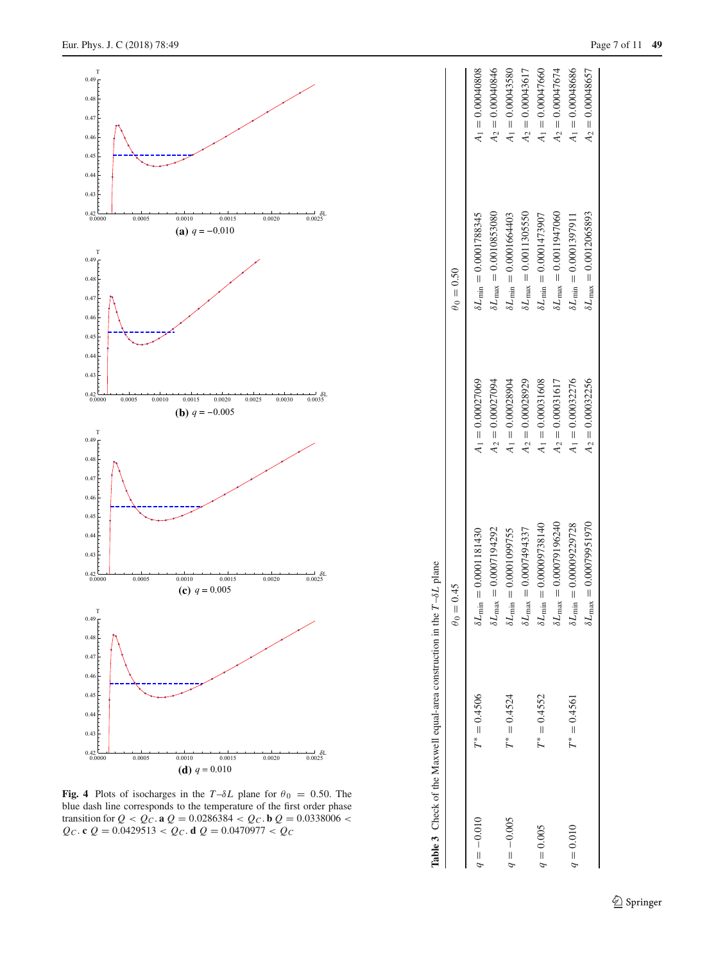

<span id="page-6-1"></span><span id="page-6-0"></span>**Fig. 4** Plots of isocharges in the  $T-\delta L$  plane for  $\theta_0 = 0.50$ . The blue dash line corresponds to the temperature of the first order phase transition for  $Q < Q_C$ . **a**  $Q = 0.0286384 < Q_C$ . **b**  $Q = 0.0338006 <$  $Q_C$ . **c**  $Q = 0.0429513 < Q_C$ . **d**  $Q = 0.0470977 < Q_C$ 

|              |                | $\theta_0 = 0.45$                           |                    | $\theta_0 = 0.50$                      |                    |
|--------------|----------------|---------------------------------------------|--------------------|----------------------------------------|--------------------|
| $q = -0.010$ | $T^* = 0.4506$ | $\delta L_{\text{min}} = 0.0001181430$      | $A_1 = 0.00027069$ | $\delta L_{\text{min}} = 0.0001788345$ | $A_1 = 0.00040808$ |
|              |                | $\delta L_{\rm max} = 0.0007194292$         | $A_2 = 0.00027094$ | $SL_{\text{max}} = 0.0010853080$       | $A_2 = 0.00040846$ |
| $q = -0.005$ | $T^* = 0.4524$ | $= 0.0001099755$<br>$\delta L_{\rm min}$    | $A_1 = 0.00028904$ | $\delta L_{\min} = 0.0001664403$       | $A_1 = 0.00043580$ |
|              |                | $= 0.0007494337$<br>$\delta L_{\rm max}$    | $A_2 = 0.00028929$ | $\delta L_{\rm max} = 0.0011305550$    | $A_2 = 0.00043617$ |
| $q = 0.005$  | $T^* = 0.4552$ | $= 0.00009738140$<br>$\delta L_{\rm min}$ : | $A_1 = 0.00031608$ | $SL_{\text{min}} = 0.0001473907$       | $A_1 = 0.00047660$ |
|              |                | $\delta L_{\rm max} = 0.00079196240$        | $A_2 = 0.00031617$ | $5L_{\text{max}} = 0.0011947060$       | $A_2 = 0.00047674$ |
| $q = 0.010$  | $T^* = 0.4561$ | $= 0.00009229728$<br>$\delta L_{\rm min}$   | $A_1 = 0.00032276$ | $SL_{\text{min}} = 0.0001397911$       | $A_1 = 0.00048686$ |
|              |                | $\delta L_{\rm max} = 0.00079951970$        | $A_2 = 0.00032256$ | $\delta L_{\rm max} = 0.0012065893$    | $A_2 = 0.00048657$ |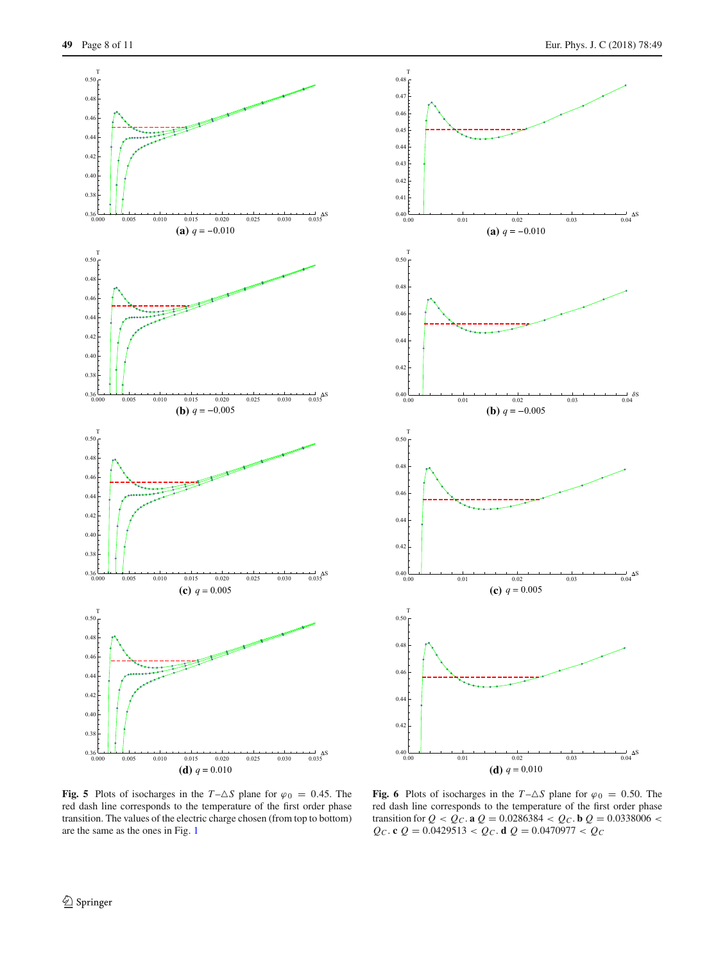



<span id="page-7-0"></span>**Fig. 5** Plots of isocharges in the  $T - \Delta S$  plane for  $\varphi_0 = 0.45$ . The red dash line corresponds to the temperature of the first order phase transition. The values of the electric charge chosen (from top to bottom) are the same as the ones in Fig. [1](#page-3-0)

<span id="page-7-1"></span>**Fig. 6** Plots of isocharges in the  $T - \Delta S$  plane for  $\varphi_0 = 0.50$ . The red dash line corresponds to the temperature of the first order phase transition for  $Q < Q_C$ . **a**  $Q = 0.0286384 < Q_C$ . **b**  $Q = 0.0338006 <$  $Q_C$ . **c**  $Q = 0.0429513 < Q_C$ . **d**  $Q = 0.0470977 < Q_C$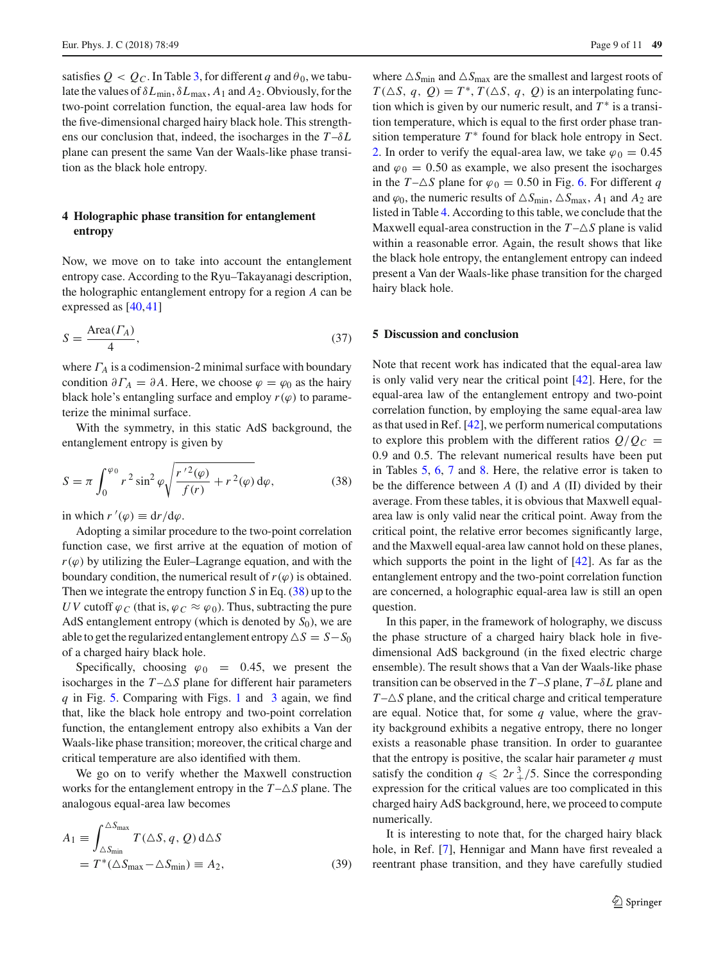satisfies  $Q < Q_C$ . In Table [3,](#page-6-1) for different q and  $\theta_0$ , we tabulate the values of δ*L*min, δ*L*max, *A*<sup>1</sup> and *A*2. Obviously, for the two-point correlation function, the equal-area law hods for the five-dimensional charged hairy black hole. This strengthens our conclusion that, indeed, the isocharges in the *T* –δ*L* plane can present the same Van der Waals-like phase transition as the black hole entropy.

### **4 Holographic phase transition for entanglement entropy**

Now, we move on to take into account the entanglement entropy case. According to the Ryu–Takayanagi description, the holographic entanglement entropy for a region *A* can be expressed as [\[40,](#page-10-27)[41\]](#page-10-28)

$$
S = \frac{\text{Area}(r_A)}{4},\tag{37}
$$

where  $\Gamma_A$  is a codimension-2 minimal surface with boundary condition  $\partial \Gamma_A = \partial A$ . Here, we choose  $\varphi = \varphi_0$  as the hairy black hole's entangling surface and employ  $r(\varphi)$  to parameterize the minimal surface.

With the symmetry, in this static AdS background, the entanglement entropy is given by

<span id="page-8-0"></span>
$$
S = \pi \int_0^{\varphi_0} r^2 \sin^2 \varphi \sqrt{\frac{r'^2(\varphi)}{f(r)} + r^2(\varphi)} d\varphi, \tag{38}
$$

in which  $r'(\varphi) \equiv dr/d\varphi$ .

Adopting a similar procedure to the two-point correlation function case, we first arrive at the equation of motion of  $r(\varphi)$  by utilizing the Euler–Lagrange equation, and with the boundary condition, the numerical result of  $r(\varphi)$  is obtained. Then we integrate the entropy function *S* in Eq. [\(38\)](#page-8-0) up to the *UV* cutoff  $\varphi_C$  (that is,  $\varphi_C \approx \varphi_0$ ). Thus, subtracting the pure AdS entanglement entropy (which is denoted by  $S_0$ ), we are able to get the regularized entanglement entropy  $\Delta S = S - S_0$ of a charged hairy black hole.

Specifically, choosing  $\varphi_0 = 0.45$ , we present the isocharges in the  $T - \Delta S$  plane for different hair parameters *q* in Fig. [5.](#page-7-0) Comparing with Figs. [1](#page-3-0) and [3](#page-5-1) again, we find that, like the black hole entropy and two-point correlation function, the entanglement entropy also exhibits a Van der Waals-like phase transition; moreover, the critical charge and critical temperature are also identified with them.

We go on to verify whether the Maxwell construction works for the entanglement entropy in the  $T - \Delta S$  plane. The analogous equal-area law becomes

$$
A_1 \equiv \int_{\Delta S_{\text{min}}}^{\Delta S_{\text{max}}} T(\Delta S, q, Q) d\Delta S
$$
  
=  $T^*(\Delta S_{\text{max}} - \Delta S_{\text{min}}) \equiv A_2,$  (39)

where  $\triangle S_{\text{min}}$  and  $\triangle S_{\text{max}}$  are the smallest and largest roots of  $T(\Delta S, q, Q) = T^*$ ,  $T(\Delta S, q, Q)$  is an interpolating function which is given by our numeric result, and  $T^*$  is a transition temperature, which is equal to the first order phase transition temperature  $T^*$  found for black hole entropy in Sect. [2.](#page-1-1) In order to verify the equal-area law, we take  $\varphi_0 = 0.45$ and  $\varphi_0 = 0.50$  as example, we also present the isocharges in the *T* $-\Delta S$  plane for  $\varphi_0 = 0.50$  in Fig. [6.](#page-7-1) For different *q* and  $\varphi_0$ , the numeric results of  $\triangle S_{\text{min}}$ ,  $\triangle S_{\text{max}}$ ,  $A_1$  and  $A_2$  are listed in Table [4.](#page-9-6) According to this table, we conclude that the Maxwell equal-area construction in the  $T - \Delta S$  plane is valid within a reasonable error. Again, the result shows that like the black hole entropy, the entanglement entropy can indeed present a Van der Waals-like phase transition for the charged hairy black hole.

#### **5 Discussion and conclusion**

Note that recent work has indicated that the equal-area law is only valid very near the critical point [\[42](#page-10-29)]. Here, for the equal-area law of the entanglement entropy and two-point correlation function, by employing the same equal-area law as that used in Ref. [\[42](#page-10-29)], we perform numerical computations to explore this problem with the different ratios  $Q/Q_C =$ 0.9 and 0.5. The relevant numerical results have been put in Tables [5,](#page-9-7) [6,](#page-9-8) [7](#page-9-9) and [8.](#page-9-10) Here, the relative error is taken to be the difference between *A* (I) and *A* (II) divided by their average. From these tables, it is obvious that Maxwell equalarea law is only valid near the critical point. Away from the critical point, the relative error becomes significantly large, and the Maxwell equal-area law cannot hold on these planes, which supports the point in the light of [\[42\]](#page-10-29). As far as the entanglement entropy and the two-point correlation function are concerned, a holographic equal-area law is still an open question.

In this paper, in the framework of holography, we discuss the phase structure of a charged hairy black hole in fivedimensional AdS background (in the fixed electric charge ensemble). The result shows that a Van der Waals-like phase transition can be observed in the  $T-S$  plane,  $T-\delta L$  plane and  $T-\Delta S$  plane, and the critical charge and critical temperature are equal. Notice that, for some *q* value, where the gravity background exhibits a negative entropy, there no longer exists a reasonable phase transition. In order to guarantee that the entropy is positive, the scalar hair parameter  $q$  must satisfy the condition  $q \leq 2r^3$  /5. Since the corresponding expression for the critical values are too complicated in this charged hairy AdS background, here, we proceed to compute numerically.

It is interesting to note that, for the charged hairy black hole, in Ref. [\[7\]](#page-9-5), Hennigar and Mann have first revealed a reentrant phase transition, and they have carefully studied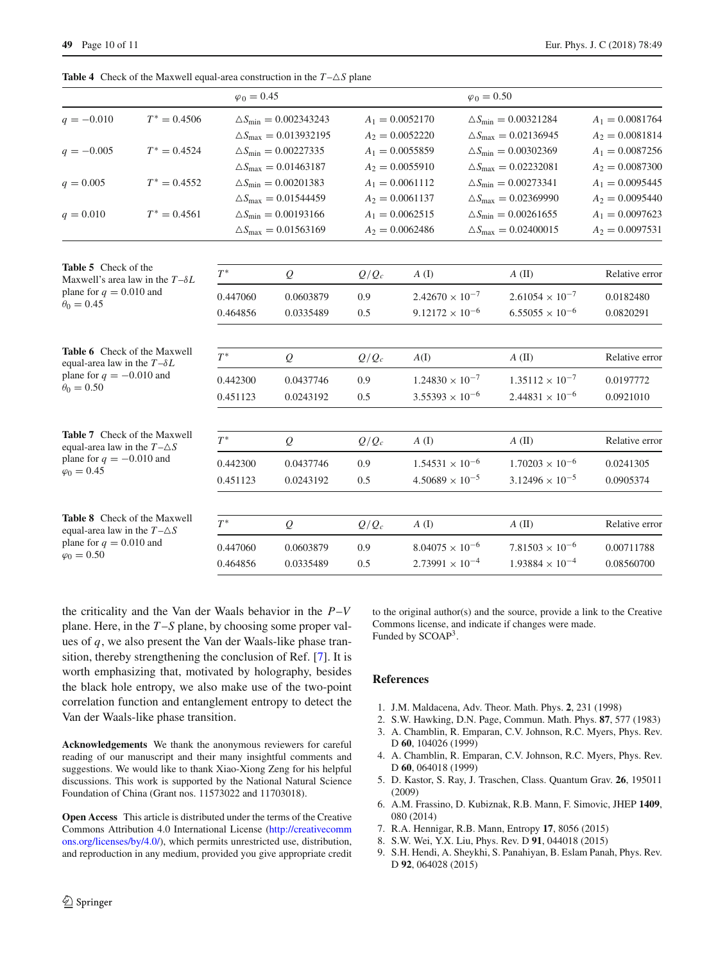<span id="page-9-6"></span>**Table 4** Check of the Maxwell equal-area construction in the  $T - \Delta S$  plane

<span id="page-9-7"></span>

|                                                                                                                       |                | $\varphi_0 = 0.45$ |                                       |         |                          | $\varphi_0 = 0.50$ |                                      |                   |
|-----------------------------------------------------------------------------------------------------------------------|----------------|--------------------|---------------------------------------|---------|--------------------------|--------------------|--------------------------------------|-------------------|
| $q = -0.010$                                                                                                          | $T^* = 0.4506$ |                    | $\Delta S_{\text{min}} = 0.002343243$ |         | $A_1 = 0.0052170$        |                    | $\Delta S_{\text{min}} = 0.00321284$ | $A_1 = 0.0081764$ |
|                                                                                                                       |                |                    | $\Delta S_{\text{max}} = 0.013932195$ |         | $A_2 = 0.0052220$        |                    | $\Delta S_{\text{max}} = 0.02136945$ | $A_2 = 0.0081814$ |
| $q = -0.005$                                                                                                          | $T^* = 0.4524$ |                    | $\Delta S_{\text{min}} = 0.00227335$  |         | $A_1 = 0.0055859$        |                    | $\Delta S_{\text{min}} = 0.00302369$ | $A_1 = 0.0087256$ |
|                                                                                                                       |                |                    | $\Delta S_{\text{max}} = 0.01463187$  |         | $A_2 = 0.0055910$        |                    | $\Delta S_{\text{max}} = 0.02232081$ | $A_2 = 0.0087300$ |
| $T^* = 0.4552$<br>$q = 0.005$                                                                                         |                |                    | $\Delta S_{\text{min}} = 0.00201383$  |         | $A_1 = 0.0061112$        |                    | $\Delta S_{\text{min}} = 0.00273341$ | $A_1 = 0.0095445$ |
|                                                                                                                       |                |                    | $\Delta S_{\text{max}} = 0.01544459$  |         | $A_2 = 0.0061137$        |                    | $\Delta S_{\text{max}} = 0.02369990$ | $A_2 = 0.0095440$ |
| $T^* = 0.4561$<br>$q = 0.010$                                                                                         |                |                    | $\Delta S_{\text{min}} = 0.00193166$  |         | $A_1 = 0.0062515$        |                    | $\Delta S_{\text{min}} = 0.00261655$ | $A_1 = 0.0097623$ |
|                                                                                                                       |                |                    | $\Delta S_{\text{max}} = 0.01563169$  |         | $A_2 = 0.0062486$        |                    | $\Delta S_{\text{max}} = 0.02400015$ | $A_2 = 0.0097531$ |
| <b>Table 5</b> Check of the                                                                                           |                |                    |                                       |         |                          |                    |                                      |                   |
| Maxwell's area law in the $T-\delta L$<br>plane for $q = 0.010$ and<br>$\theta_0 = 0.45$                              |                | $T^*$              | $\mathcal{Q}$                         | $Q/Q_c$ | $A($ I                   |                    | A(II)                                | Relative error    |
|                                                                                                                       |                | 0.447060           | 0.0603879                             | 0.9     | $2.42670 \times 10^{-7}$ |                    | $2.61054 \times 10^{-7}$             | 0.0182480         |
|                                                                                                                       |                | 0.464856           | 0.0335489                             | 0.5     | $9.12172 \times 10^{-6}$ |                    | $6.55055 \times 10^{-6}$             | 0.0820291         |
| Table 6 Check of the Maxwell<br>equal-area law in the $T-\delta L$<br>plane for $q = -0.010$ and<br>$\theta_0 = 0.50$ |                | $T^*$              |                                       |         |                          |                    |                                      |                   |
|                                                                                                                       |                |                    | $\mathcal{Q}$                         | $Q/Q_c$ | A(I)                     |                    | A(II)                                | Relative error    |
|                                                                                                                       |                | 0.442300           | 0.0437746                             | 0.9     | $1.24830 \times 10^{-7}$ |                    | $1.35112 \times 10^{-7}$             | 0.0197772         |
|                                                                                                                       |                | 0.451123           | 0.0243192                             | 0.5     | $3.55393 \times 10^{-6}$ |                    | $2.44831 \times 10^{-6}$             | 0.0921010         |
| <b>Table 7</b> Check of the Maxwell                                                                                   |                | $T^*$              | $\mathcal{Q}$                         | $Q/Q_c$ | A(I)                     |                    | A(II)                                | Relative error    |
| equal-area law in the $T-\Delta S$<br>plane for $q = -0.010$ and<br>$\varphi_0 = 0.45$                                |                |                    |                                       |         |                          |                    |                                      |                   |
|                                                                                                                       |                | 0.442300           | 0.0437746                             | 0.9     | $1.54531 \times 10^{-6}$ |                    | $1.70203 \times 10^{-6}$             | 0.0241305         |
|                                                                                                                       |                | 0.451123           | 0.0243192                             | 0.5     | $4.50689 \times 10^{-5}$ |                    | $3.12496 \times 10^{-5}$             | 0.0905374         |
| <b>Table 8</b> Check of the Maxwell                                                                                   |                | $T^*$              | $\mathcal{Q}$                         | $Q/Q_c$ | $A($ I                   |                    | $A(\mathbf{II})$                     | Relative error    |
| equal-area law in the $T-\Delta S$<br>plane for $q = 0.010$ and                                                       |                |                    |                                       |         |                          |                    |                                      |                   |
| $\varphi_0 = 0.50$                                                                                                    |                | 0.447060           | 0.0603879                             | 0.9     | $8.04075 \times 10^{-6}$ |                    | $7.81503 \times 10^{-6}$             | 0.00711788        |
|                                                                                                                       |                | 0.464856           | 0.0335489                             | 0.5     | $2.73991 \times 10^{-4}$ |                    | $1.93884 \times 10^{-4}$             | 0.08560700        |

<span id="page-9-10"></span><span id="page-9-9"></span><span id="page-9-8"></span>the criticality and the Van der Waals behavior in the *P*–*V* plane. Here, in the *T* –*S* plane, by choosing some proper values of *q*, we also present the Van der Waals-like phase transition, thereby strengthening the conclusion of Ref. [\[7\]](#page-9-5). It is worth emphasizing that, motivated by holography, besides the black hole entropy, we also make use of the two-point correlation function and entanglement entropy to detect the Van der Waals-like phase transition.

**Acknowledgements** We thank the anonymous reviewers for careful reading of our manuscript and their many insightful comments and suggestions. We would like to thank Xiao-Xiong Zeng for his helpful discussions. This work is supported by the National Natural Science Foundation of China (Grant nos. 11573022 and 11703018).

**Open Access** This article is distributed under the terms of the Creative Commons Attribution 4.0 International License [\(http://creativecomm](http://creativecommons.org/licenses/by/4.0/) [ons.org/licenses/by/4.0/\)](http://creativecommons.org/licenses/by/4.0/), which permits unrestricted use, distribution, and reproduction in any medium, provided you give appropriate credit to the original author(s) and the source, provide a link to the Creative Commons license, and indicate if changes were made. Funded by SCOAP3.

#### **References**

- <span id="page-9-0"></span>1. J.M. Maldacena, Adv. Theor. Math. Phys. **2**, 231 (1998)
- <span id="page-9-1"></span>2. S.W. Hawking, D.N. Page, Commun. Math. Phys. **87**, 577 (1983)
- <span id="page-9-2"></span>3. A. Chamblin, R. Emparan, C.V. Johnson, R.C. Myers, Phys. Rev. D **60**, 104026 (1999)
- <span id="page-9-3"></span>4. A. Chamblin, R. Emparan, C.V. Johnson, R.C. Myers, Phys. Rev. D **60**, 064018 (1999)
- <span id="page-9-4"></span>5. D. Kastor, S. Ray, J. Traschen, Class. Quantum Grav. **26**, 195011 (2009)
- 6. A.M. Frassino, D. Kubiznak, R.B. Mann, F. Simovic, JHEP **1409**, 080 (2014)
- <span id="page-9-5"></span>7. R.A. Hennigar, R.B. Mann, Entropy **17**, 8056 (2015)
- 8. S.W. Wei, Y.X. Liu, Phys. Rev. D **91**, 044018 (2015)
- 9. S.H. Hendi, A. Sheykhi, S. Panahiyan, B. Eslam Panah, Phys. Rev. D **92**, 064028 (2015)